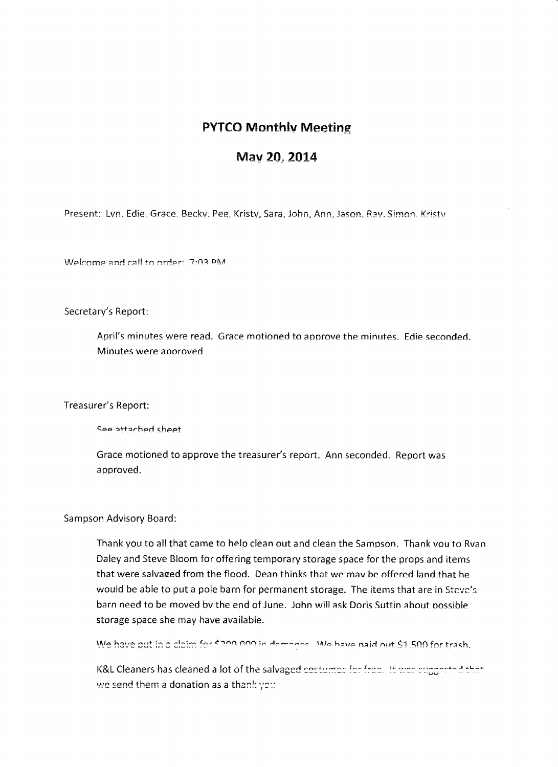## **PYTCO Monthlv Meeting**

## May 20, 2014

Present: Lvn. Edie. Grace, Beckv. Peg, Kristv, Sara, John, Ann. Jason. Rav. Simon. Kristv

Welcome and call to order: 7:03 PM

Secretary's Report:

April's minutes were read. Grace motioned to approve the minutes. Edie seconded. Minutes were approved

Treasurer's Report:

See attached sheet

Grace motioned to approve the treasurer's report. Ann seconded. Report was approved.

Sampson Advisory Board:

Thank you to all that came to help clean out and dean the Sampson. Thank vou to Rvan Daley and Steve Bloom for offering temporary storage space for the props and items that were salvaeed from the flood. Dean thinks that we mav be offered land that he would be able to put a pole barn for permanent storage. The items that are in Steve's barn need to be moved bv the end of June. John will ask Doris Suttin about oossible storage space she may have available.

We have out in a claim for \$200.000 in demonse. We have paid out \$1,500 for trash.

K&L Cleaners has cleaned a lot of the salvaged costumes for free. It was suggested that we send them a donation as a thank  $\gamma$ e $::$ .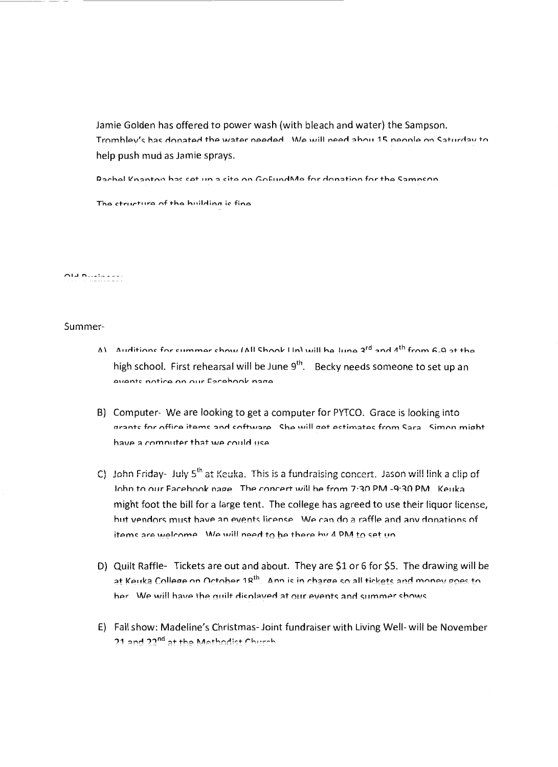Jamie Golden has offered to power wash (with bleach and water) the Sampson. Trombley's has donated the water needed. We will need about 15 neonle on Saturday to help push mud as Jamie sprays.

Rachel Knanton has set un a site on GoFundMe for donation for the Samnson

The ctructure of the huilding is fine

## Ald houtened

## Summer-

- $\Delta$ ) Auditions for summer show (All Shook Lin) will be lune  $2^{rd}$  and  $\Lambda^{th}$  from 6.9 at the high school. First rehearsal will be June 9<sup>th</sup>. Becky needs someone to set up an events notice on our Eacehook nage
- B) Computer- We are looking to get a computer for PYTCO. Grace is looking into grants for office items and software She will get estimates from Sara Simon might have a computer that we could use
- C) John Friday- July  $5<sup>th</sup>$  at Keuka. This is a fundraising concert. Jason will link a clip of John to our Eacebook nage. The concert will be from 7:30 PM -9:30 PM. Keuka might foot the bill for a large tent. The college has agreed to use their liquor license, but vendors must have an events license. We can do a raffle and any donations of items are welcome. We will need to be there by 4 PM to set un
- D) Quilt Raffle- Tickets are out and about. They are \$1 or 6 for \$5. The drawing will be at Keuka College on October 18<sup>th</sup>. Ann is in charge so all tickets and money goes to her. We will have the quilt displayed at our events and summer shows.
- E) Fall show: Madeline's Christmas-Joint fundraiser with Living Well- will be November 21 and 22<sup>nd</sup> at the Methodist Church